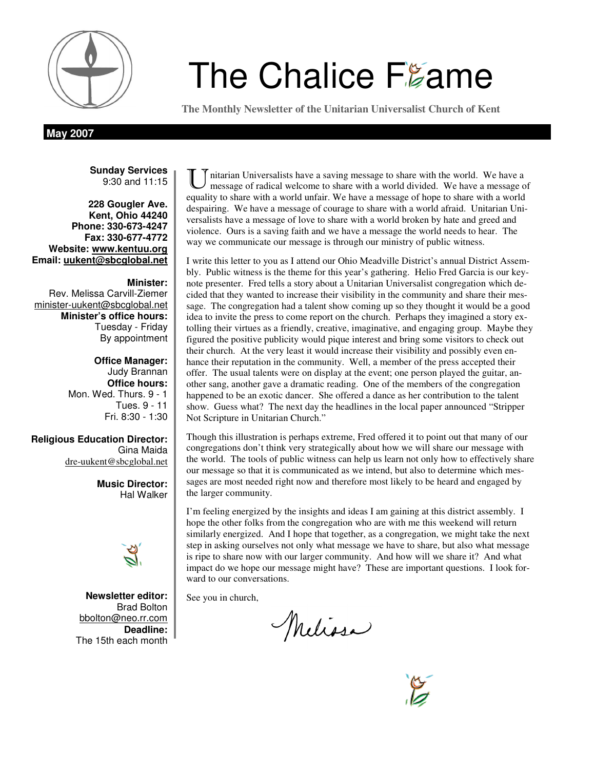

# **The Chalice Frame**

**The Monthly Newsletter of the Unitarian Universalist Church of Kent** 

**May 2007** 

**Sunday Services**  9:30 and 11:15

**228 Gougler Ave. Kent, Ohio 44240 Phone: 330-673-4247 Fax: 330-677-4772 Website: www.kentuu.org Email: uukent@sbcglobal.net**

**Minister:**  Rev. Melissa Carvill-Ziemer minister-uukent@sbcglobal.net **Minister's office hours:**  Tuesday - Friday By appointment

> **Office Manager:** Judy Brannan **Office hours:** Mon. Wed. Thurs. 9 - 1 Tues. 9 - 11 Fri. 8:30 - 1:30

**Religious Education Director:**  Gina Maida dre-uukent@sbcglobal.net

> **Music Director:**  Hal Walker



**Newsletter editor:**  Brad Bolton bbolton@neo.rr.com **Deadline:**  The 15th each month

nitarian Universalists have a saving message to share with the world. We have a message of radical welcome to share with a world divided. We have a message of equality to share with a world unfair. We have a message of hope to share with a world despairing. We have a message of courage to share with a world afraid. Unitarian Universalists have a message of love to share with a world broken by hate and greed and violence. Ours is a saving faith and we have a message the world needs to hear. The way we communicate our message is through our ministry of public witness.

I write this letter to you as I attend our Ohio Meadville District's annual District Assembly. Public witness is the theme for this year's gathering. Helio Fred Garcia is our keynote presenter. Fred tells a story about a Unitarian Universalist congregation which decided that they wanted to increase their visibility in the community and share their message. The congregation had a talent show coming up so they thought it would be a good idea to invite the press to come report on the church. Perhaps they imagined a story extolling their virtues as a friendly, creative, imaginative, and engaging group. Maybe they figured the positive publicity would pique interest and bring some visitors to check out their church. At the very least it would increase their visibility and possibly even enhance their reputation in the community. Well, a member of the press accepted their offer. The usual talents were on display at the event; one person played the guitar, another sang, another gave a dramatic reading. One of the members of the congregation happened to be an exotic dancer. She offered a dance as her contribution to the talent show. Guess what? The next day the headlines in the local paper announced "Stripper Not Scripture in Unitarian Church."

Though this illustration is perhaps extreme, Fred offered it to point out that many of our congregations don't think very strategically about how we will share our message with the world. The tools of public witness can help us learn not only how to effectively share our message so that it is communicated as we intend, but also to determine which messages are most needed right now and therefore most likely to be heard and engaged by the larger community.

I'm feeling energized by the insights and ideas I am gaining at this district assembly. I hope the other folks from the congregation who are with me this weekend will return similarly energized. And I hope that together, as a congregation, we might take the next step in asking ourselves not only what message we have to share, but also what message is ripe to share now with our larger community. And how will we share it? And what impact do we hope our message might have? These are important questions. I look forward to our conversations.

See you in church,

Melissa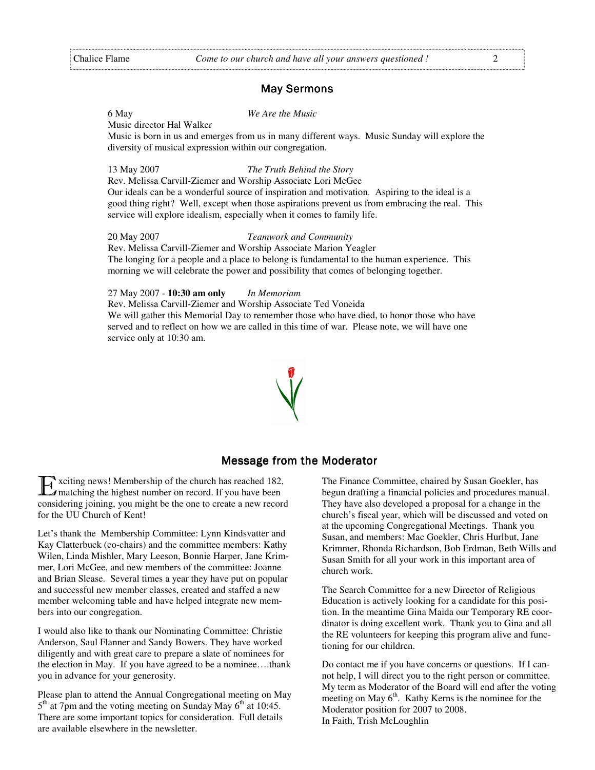#### **May Sermons**

6 May *We Are the Music* 

Music director Hal Walker

Music is born in us and emerges from us in many different ways. Music Sunday will explore the diversity of musical expression within our congregation.

#### 13 May 2007 *The Truth Behind the Story*

Rev. Melissa Carvill-Ziemer and Worship Associate Lori McGee Our ideals can be a wonderful source of inspiration and motivation. Aspiring to the ideal is a good thing right? Well, except when those aspirations prevent us from embracing the real. This service will explore idealism, especially when it comes to family life.

#### 20 May 2007 *Teamwork and Community*

Rev. Melissa Carvill-Ziemer and Worship Associate Marion Yeagler The longing for a people and a place to belong is fundamental to the human experience. This morning we will celebrate the power and possibility that comes of belonging together.

#### 27 May 2007 - **10:30 am only** *In Memoriam*

Rev. Melissa Carvill-Ziemer and Worship Associate Ted Voneida We will gather this Memorial Day to remember those who have died, to honor those who have served and to reflect on how we are called in this time of war. Please note, we will have one service only at 10:30 am.

#### Message from the Moderator

'xciting news! Membership of the church has reached 182, matching the highest number on record. If you have been considering joining, you might be the one to create a new record for the UU Church of Kent!

Let's thank the Membership Committee: Lynn Kindsvatter and Kay Clatterbuck (co-chairs) and the committee members: Kathy Wilen, Linda Mishler, Mary Leeson, Bonnie Harper, Jane Krimmer, Lori McGee, and new members of the committee: Joanne and Brian Slease. Several times a year they have put on popular and successful new member classes, created and staffed a new member welcoming table and have helped integrate new members into our congregation.

I would also like to thank our Nominating Committee: Christie Anderson, Saul Flanner and Sandy Bowers. They have worked diligently and with great care to prepare a slate of nominees for the election in May. If you have agreed to be a nominee….thank you in advance for your generosity.

Please plan to attend the Annual Congregational meeting on May 5<sup>th</sup> at 7pm and the voting meeting on Sunday May 6<sup>th</sup> at 10:45. There are some important topics for consideration. Full details are available elsewhere in the newsletter.

The Finance Committee, chaired by Susan Goekler, has begun drafting a financial policies and procedures manual. They have also developed a proposal for a change in the church's fiscal year, which will be discussed and voted on at the upcoming Congregational Meetings. Thank you Susan, and members: Mac Goekler, Chris Hurlbut, Jane Krimmer, Rhonda Richardson, Bob Erdman, Beth Wills and Susan Smith for all your work in this important area of church work.

The Search Committee for a new Director of Religious Education is actively looking for a candidate for this position. In the meantime Gina Maida our Temporary RE coordinator is doing excellent work. Thank you to Gina and all the RE volunteers for keeping this program alive and functioning for our children.

Do contact me if you have concerns or questions. If I cannot help, I will direct you to the right person or committee. My term as Moderator of the Board will end after the voting meeting on May  $6<sup>th</sup>$ . Kathy Kerns is the nominee for the Moderator position for 2007 to 2008. In Faith, Trish McLoughlin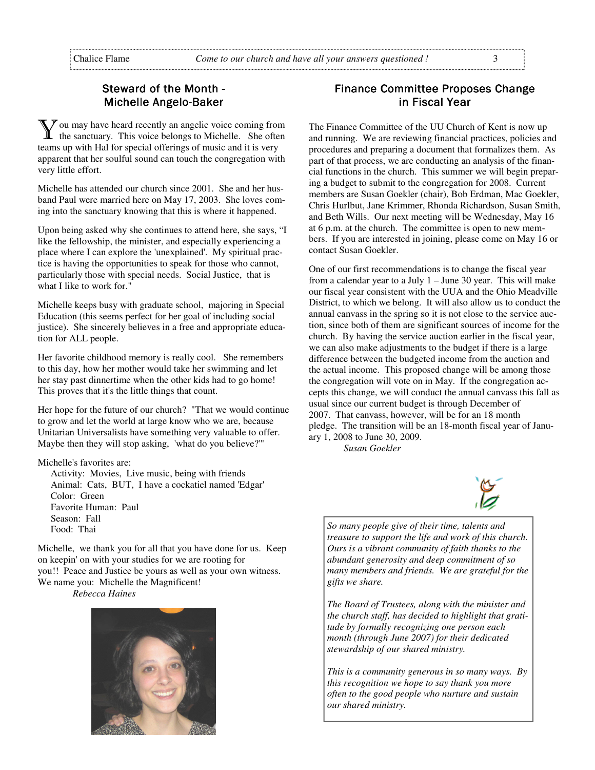# Steward of the Month -Michelle Angelo-Baker

 $\chi$  ou may have heard recently an angelic voice coming from the sanctuary. This voice belongs to Michelle. She often teams up with Hal for special offerings of music and it is very apparent that her soulful sound can touch the congregation with very little effort.

Michelle has attended our church since 2001. She and her husband Paul were married here on May 17, 2003. She loves coming into the sanctuary knowing that this is where it happened.

Upon being asked why she continues to attend here, she says, "I like the fellowship, the minister, and especially experiencing a place where I can explore the 'unexplained'. My spiritual practice is having the opportunities to speak for those who cannot, particularly those with special needs. Social Justice, that is what I like to work for."

Michelle keeps busy with graduate school, majoring in Special Education (this seems perfect for her goal of including social justice). She sincerely believes in a free and appropriate education for ALL people.

Her favorite childhood memory is really cool. She remembers to this day, how her mother would take her swimming and let her stay past dinnertime when the other kids had to go home! This proves that it's the little things that count.

Her hope for the future of our church? "That we would continue to grow and let the world at large know who we are, because Unitarian Universalists have something very valuable to offer. Maybe then they will stop asking, 'what do you believe?'"

Michelle's favorites are:

Activity: Movies, Live music, being with friends Animal: Cats, BUT, I have a cockatiel named 'Edgar' Color: Green Favorite Human: Paul Season: Fall Food: Thai

Michelle, we thank you for all that you have done for us. Keep on keepin' on with your studies for we are rooting for you!! Peace and Justice be yours as well as your own witness. We name you: Michelle the Magnificent!

*Rebecca Haines*



# Finance Committee Proposes Change in Fiscal Year

The Finance Committee of the UU Church of Kent is now up and running. We are reviewing financial practices, policies and procedures and preparing a document that formalizes them. As part of that process, we are conducting an analysis of the financial functions in the church. This summer we will begin preparing a budget to submit to the congregation for 2008. Current members are Susan Goekler (chair), Bob Erdman, Mac Goekler, Chris Hurlbut, Jane Krimmer, Rhonda Richardson, Susan Smith, and Beth Wills. Our next meeting will be Wednesday, May 16 at 6 p.m. at the church. The committee is open to new members. If you are interested in joining, please come on May 16 or contact Susan Goekler.

One of our first recommendations is to change the fiscal year from a calendar year to a July 1 – June 30 year. This will make our fiscal year consistent with the UUA and the Ohio Meadville District, to which we belong. It will also allow us to conduct the annual canvass in the spring so it is not close to the service auction, since both of them are significant sources of income for the church. By having the service auction earlier in the fiscal year, we can also make adjustments to the budget if there is a large difference between the budgeted income from the auction and the actual income. This proposed change will be among those the congregation will vote on in May. If the congregation accepts this change, we will conduct the annual canvass this fall as usual since our current budget is through December of 2007. That canvass, however, will be for an 18 month pledge. The transition will be an 18-month fiscal year of January 1, 2008 to June 30, 2009.

*Susan Goekler* 



*So many people give of their time, talents and treasure to support the life and work of this church. Ours is a vibrant community of faith thanks to the abundant generosity and deep commitment of so many members and friends. We are grateful for the gifts we share.* 

*The Board of Trustees, along with the minister and the church staff, has decided to highlight that gratitude by formally recognizing one person each month (through June 2007) for their dedicated stewardship of our shared ministry.* 

*This is a community generous in so many ways. By this recognition we hope to say thank you more often to the good people who nurture and sustain our shared ministry.*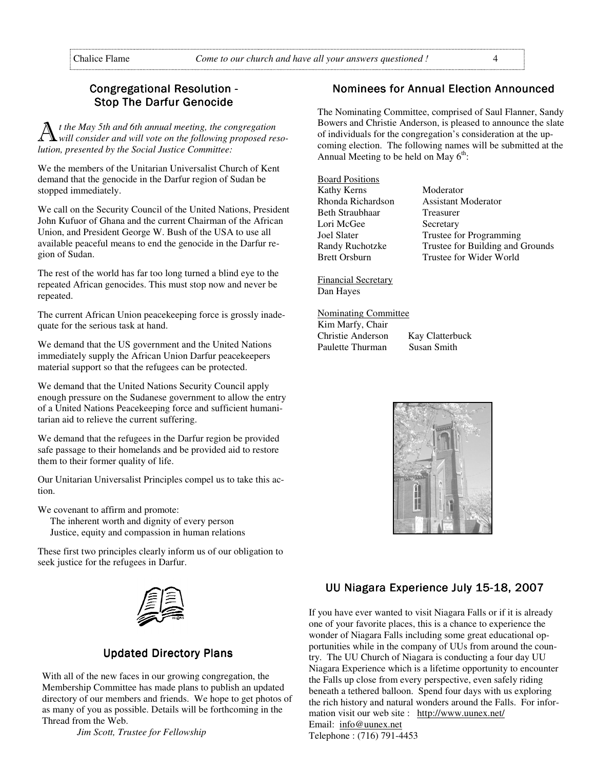# Congregational Resolution -**Stop The Darfur Genocide**

 $t$  the May 5th and 6th annual meeting, the congregation *will consider and will vote on the following proposed resolution, presented by the Social Justice Committee:*

We the members of the Unitarian Universalist Church of Kent demand that the genocide in the Darfur region of Sudan be stopped immediately.

We call on the Security Council of the United Nations, President John Kufuor of Ghana and the current Chairman of the African Union, and President George W. Bush of the USA to use all available peaceful means to end the genocide in the Darfur region of Sudan.

The rest of the world has far too long turned a blind eye to the repeated African genocides. This must stop now and never be repeated.

The current African Union peacekeeping force is grossly inadequate for the serious task at hand.

We demand that the US government and the United Nations immediately supply the African Union Darfur peacekeepers material support so that the refugees can be protected.

We demand that the United Nations Security Council apply enough pressure on the Sudanese government to allow the entry of a United Nations Peacekeeping force and sufficient humanitarian aid to relieve the current suffering.

We demand that the refugees in the Darfur region be provided safe passage to their homelands and be provided aid to restore them to their former quality of life.

Our Unitarian Universalist Principles compel us to take this action.

We covenant to affirm and promote:

The inherent worth and dignity of every person Justice, equity and compassion in human relations

These first two principles clearly inform us of our obligation to seek justice for the refugees in Darfur.



# **Updated Directory Plans**

With all of the new faces in our growing congregation, the Membership Committee has made plans to publish an updated directory of our members and friends. We hope to get photos of as many of you as possible. Details will be forthcoming in the Thread from the Web.

 *Jim Scott, Trustee for Fellowship* 

# Nominees for Annual Election Announced

The Nominating Committee, comprised of Saul Flanner, Sandy Bowers and Christie Anderson, is pleased to announce the slate of individuals for the congregation's consideration at the upcoming election. The following names will be submitted at the Annual Meeting to be held on May  $6<sup>th</sup>$ :

Board Positions Kathy Kerns Moderator Beth Straubhaar Treasurer Lori McGee Secretary

Rhonda Richardson Assistant Moderator Joel Slater Trustee for Programming Randy Ruchotzke Trustee for Building and Grounds<br>Brett Orsburn Trustee for Wider World Trustee for Wider World

Financial Secretary Dan Hayes

Nominating Committee

Kim Marfy, Chair Christie Anderson Kay Clatterbuck Paulette Thurman



# UU Niagara Experience July 15-18, 2007

If you have ever wanted to visit Niagara Falls or if it is already one of your favorite places, this is a chance to experience the wonder of Niagara Falls including some great educational opportunities while in the company of UUs from around the country. The UU Church of Niagara is conducting a four day UU Niagara Experience which is a lifetime opportunity to encounter the Falls up close from every perspective, even safely riding beneath a tethered balloon. Spend four days with us exploring the rich history and natural wonders around the Falls. For information visit our web site : http://www.uunex.net/ Email: info@uunex.net

Telephone : (716) 791-4453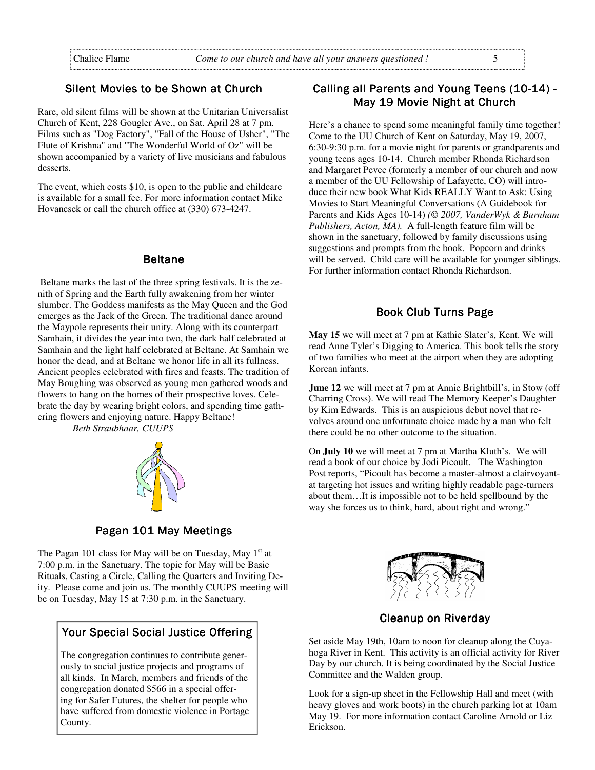# Silent Movies to be Shown at Church

Rare, old silent films will be shown at the Unitarian Universalist Church of Kent, 228 Gougler Ave., on Sat. April 28 at 7 pm. Films such as "Dog Factory", "Fall of the House of Usher", "The Flute of Krishna" and "The Wonderful World of Oz" will be shown accompanied by a variety of live musicians and fabulous desserts.

The event, which costs \$10, is open to the public and childcare is available for a small fee. For more information contact Mike Hovancsek or call the church office at (330) 673-4247.

#### **Beltane**

 Beltane marks the last of the three spring festivals. It is the zenith of Spring and the Earth fully awakening from her winter slumber. The Goddess manifests as the May Queen and the God emerges as the Jack of the Green. The traditional dance around the Maypole represents their unity. Along with its counterpart Samhain, it divides the year into two, the dark half celebrated at Samhain and the light half celebrated at Beltane. At Samhain we honor the dead, and at Beltane we honor life in all its fullness. Ancient peoples celebrated with fires and feasts. The tradition of May Boughing was observed as young men gathered woods and flowers to hang on the homes of their prospective loves. Celebrate the day by wearing bright colors, and spending time gathering flowers and enjoying nature. Happy Beltane!

 *Beth Straubhaar, CUUPS* 



Pagan 101 May Meetings

The Pagan 101 class for May will be on Tuesday, May  $1<sup>st</sup>$  at 7:00 p.m. in the Sanctuary. The topic for May will be Basic Rituals, Casting a Circle, Calling the Quarters and Inviting Deity. Please come and join us. The monthly CUUPS meeting will be on Tuesday, May 15 at 7:30 p.m. in the Sanctuary.

## Your Special Social Justice Offering

The congregation continues to contribute generously to social justice projects and programs of all kinds. In March, members and friends of the congregation donated \$566 in a special offering for Safer Futures, the shelter for people who have suffered from domestic violence in Portage County.

# Calling all Parents and Young Teens (10-14) -Mav 19 Movie Night at Church

Here's a chance to spend some meaningful family time together! Come to the UU Church of Kent on Saturday, May 19, 2007, 6:30-9:30 p.m. for a movie night for parents or grandparents and young teens ages 10-14. Church member Rhonda Richardson and Margaret Pevec (formerly a member of our church and now a member of the UU Fellowship of Lafayette, CO) will introduce their new book What Kids REALLY Want to Ask: Using Movies to Start Meaningful Conversations (A Guidebook for Parents and Kids Ages 10-14) *(© 2007, VanderWyk & Burnham Publishers, Acton, MA).* A full-length feature film will be shown in the sanctuary, followed by family discussions using suggestions and prompts from the book. Popcorn and drinks will be served. Child care will be available for younger siblings. For further information contact Rhonda Richardson.

#### Book Club Turns Page

**May 15** we will meet at 7 pm at Kathie Slater's, Kent. We will read Anne Tyler's Digging to America. This book tells the story of two families who meet at the airport when they are adopting Korean infants.

**June 12** we will meet at 7 pm at Annie Brightbill's, in Stow (off Charring Cross). We will read The Memory Keeper's Daughter by Kim Edwards. This is an auspicious debut novel that revolves around one unfortunate choice made by a man who felt there could be no other outcome to the situation.

On **July 10** we will meet at 7 pm at Martha Kluth's. We will read a book of our choice by Jodi Picoult. The Washington Post reports, "Picoult has become a master-almost a clairvoyantat targeting hot issues and writing highly readable page-turners about them…It is impossible not to be held spellbound by the way she forces us to think, hard, about right and wrong."



**Cleanup on Riverday** 

Set aside May 19th, 10am to noon for cleanup along the Cuyahoga River in Kent. This activity is an official activity for River Day by our church. It is being coordinated by the Social Justice Committee and the Walden group.

Look for a sign-up sheet in the Fellowship Hall and meet (with heavy gloves and work boots) in the church parking lot at 10am May 19. For more information contact Caroline Arnold or Liz Erickson.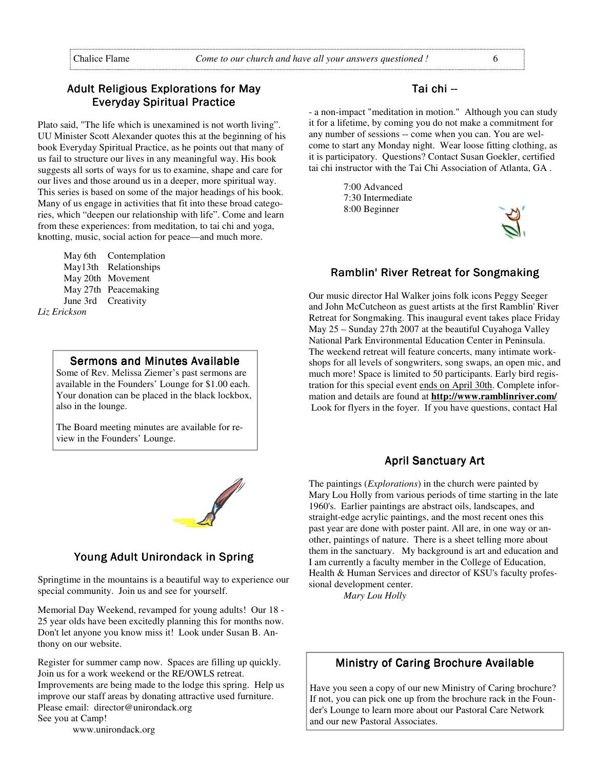# Adult Religious Explorations for May **Everyday Spiritual Practice**

Plato said, "The life which is unexamined is not worth living". UU Minister Scott Alexander quotes this at the beginning of his book Everyday Spiritual Practice, as he points out that many of us fail to structure our lives in any meaningful way. His book suggests all sorts of ways for us to examine, shape and care for our lives and those around us in a deeper, more spiritual way. This series is based on some of the major headings of his book. Many of us engage in activities that fit into these broad categories, which "deepen our relationship with life". Come and learn from these experiences: from meditation, to tai chi and yoga, knotting, music, social action for peace—and much more.

May 6th Contemplation May13th Relationships May 20th Movement May 27th Peacemaking June 3rd Creativity *Liz Erickson* 

#### Sermons and Minutes Available

Some of Rev. Melissa Ziemer's past sermons are available in the Founders' Lounge for \$1.00 each. Your donation can be placed in the black lockbox, also in the lounge.

The Board meeting minutes are available for review in the Founders' Lounge.



## Young Adult Unirondack in Spring

Springtime in the mountains is a beautiful way to experience our special community. Join us and see for yourself.

Memorial Day Weekend, revamped for young adults! Our 18 - 25 year olds have been excitedly planning this for months now. Don't let anyone you know miss it! Look under Susan B. Anthony on our website.

Register for summer camp now. Spaces are filling up quickly. Join us for a work weekend or the RE/OWLS retreat. Improvements are being made to the lodge this spring. Help us improve our staff areas by donating attractive used furniture. Please email: director@unirondack.org See you at Camp!

www.unirondack.org

#### Tai chi --

- a non-impact "meditation in motion." Although you can study it for a lifetime, by coming you do not make a commitment for any number of sessions -- come when you can. You are welcome to start any Monday night. Wear loose fitting clothing, as it is participatory. Questions? Contact Susan Goekler, certified tai chi instructor with the Tai Chi Association of Atlanta, GA .

> 7:00 Advanced 7:30 Intermediate 8:00 Beginner



#### Ramblin' River Retreat for Songmaking

Our music director Hal Walker joins folk icons Peggy Seeger and John McCutcheon as guest artists at the first Ramblin' River Retreat for Songmaking. This inaugural event takes place Friday May 25 – Sunday 27th 2007 at the beautiful Cuyahoga Valley National Park Environmental Education Center in Peninsula. The weekend retreat will feature concerts, many intimate workshops for all levels of songwriters, song swaps, an open mic, and much more! Space is limited to 50 participants. Early bird registration for this special event ends on April 30th. Complete information and details are found at **http://www.ramblinriver.com/** Look for flyers in the foyer. If you have questions, contact Hal

#### **April Sanctuary Art**

The paintings (*Explorations*) in the church were painted by Mary Lou Holly from various periods of time starting in the late 1960's. Earlier paintings are abstract oils, landscapes, and straight-edge acrylic paintings, and the most recent ones this past year are done with poster paint. All are, in one way or another, paintings of nature. There is a sheet telling more about them in the sanctuary. My background is art and education and I am currently a faculty member in the College of Education, Health & Human Services and director of KSU's faculty professional development center.

 *Mary Lou Holly* 

## Ministry of Caring Brochure Available

Have you seen a copy of our new Ministry of Caring brochure? If not, you can pick one up from the brochure rack in the Founder's Lounge to learn more about our Pastoral Care Network and our new Pastoral Associates.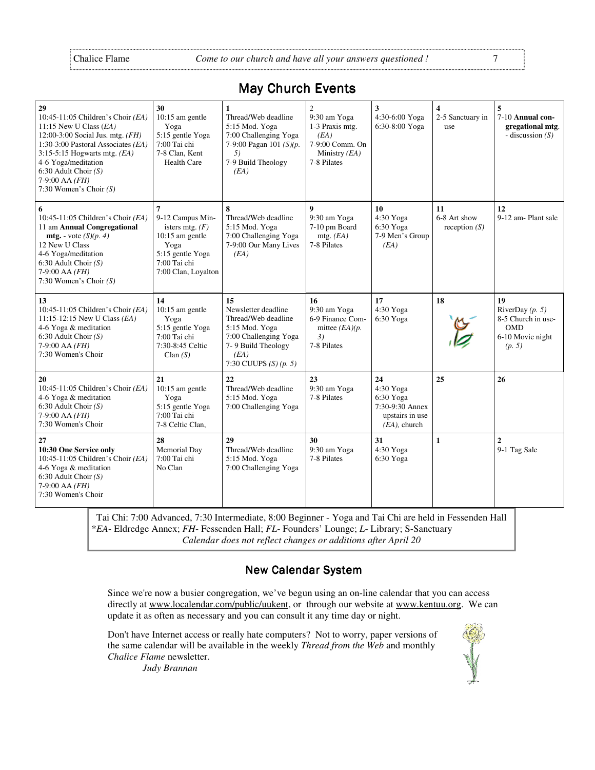| 29<br>10:45-11:05 Children's Choir (EA)<br>11:15 New U Class $(EA)$<br>12:00-3:00 Social Jus. mtg. $(FH)$<br>1:30-3:00 Pastoral Associates (EA)<br>$3:15-5:15$ Hogwarts mtg. ( <i>EA</i> )<br>4-6 Yoga/meditation<br>6:30 Adult Choir $(S)$<br>$7-9:00$ AA $(FH)$<br>7:30 Women's Choir $(S)$ | 30<br>$10:15$ am gentle<br>Yoga<br>5:15 gentle Yoga<br>7:00 Tai chi<br>7-8 Clan, Kent<br><b>Health Care</b>                        | 1<br>Thread/Web deadline<br>5:15 Mod. Yoga<br>7:00 Challenging Yoga<br>7-9:00 Pagan 101 (S)(p.<br>5)<br>7-9 Build Theology<br>(EA)                     | $\overline{c}$<br>9:30 am Yoga<br>1-3 Praxis mtg.<br>(EA)<br>7-9:00 Comm. On<br>Ministry $(EA)$<br>7-8 Pilates | 3<br>4:30-6:00 Yoga<br>6:30-8:00 Yoga                                                 | 4<br>2-5 Sanctuary in<br>use          | 5<br>7-10 Annual con-<br>gregational mtg.<br>- discussion $(S)$                           |
|-----------------------------------------------------------------------------------------------------------------------------------------------------------------------------------------------------------------------------------------------------------------------------------------------|------------------------------------------------------------------------------------------------------------------------------------|--------------------------------------------------------------------------------------------------------------------------------------------------------|----------------------------------------------------------------------------------------------------------------|---------------------------------------------------------------------------------------|---------------------------------------|-------------------------------------------------------------------------------------------|
| 6<br>10:45-11:05 Children's Choir (EA)<br>11 am Annual Congregational<br><b>mtg.</b> - vote $(S)(p, 4)$<br>12 New U Class<br>4-6 Yoga/meditation<br>$6:30$ Adult Choir $(S)$<br>7-9:00 AA (FH)<br>7:30 Women's Choir $(S)$                                                                    | 7<br>9-12 Campus Min-<br>isters mtg. $(F)$<br>$10:15$ am gentle<br>Yoga<br>5:15 gentle Yoga<br>7:00 Tai chi<br>7:00 Clan, Loyalton | 8<br>Thread/Web deadline<br>5:15 Mod. Yoga<br>7:00 Challenging Yoga<br>7-9:00 Our Many Lives<br>(EA)                                                   | $\boldsymbol{9}$<br>9:30 am Yoga<br>7-10 pm Board<br>mtg. $(EA)$<br>7-8 Pilates                                | 10<br>4:30 Yoga<br>6:30 Yoga<br>7-9 Men's Group<br>(EA)                               | 11<br>6-8 Art show<br>reception $(S)$ | 12<br>9-12 am-Plant sale                                                                  |
| 13<br>10:45-11:05 Children's Choir (EA)<br>11:15-12:15 New U Class (EA)<br>4-6 Yoga & meditation<br>$6:30$ Adult Choir $(S)$<br>$7-9:00$ AA $(FH)$<br>7:30 Women's Choir                                                                                                                      | 14<br>$10:15$ am gentle<br>Yoga<br>5:15 gentle Yoga<br>7:00 Tai chi<br>7:30-8:45 Celtic<br>Clan $(S)$                              | 15<br>Newsletter deadline<br>Thread/Web deadline<br>5:15 Mod. Yoga<br>7:00 Challenging Yoga<br>7-9 Build Theology<br>(EA)<br>7:30 CUUPS $(S)$ $(p, 5)$ | 16<br>9:30 am Yoga<br>6-9 Finance Com-<br>mittee $(EA)(p.$<br>3)<br>7-8 Pilates                                | 17<br>4:30 Yoga<br>6:30 Yoga                                                          | 18                                    | 19<br>RiverDay $(p, 5)$<br>8-5 Church in use-<br><b>OMD</b><br>6-10 Movie night<br>(p, 5) |
| 20<br>10:45-11:05 Children's Choir (EA)<br>4-6 Yoga & meditation<br>$6:30$ Adult Choir $(S)$<br>7-9:00 AA (FH)<br>7:30 Women's Choir                                                                                                                                                          | 21<br>$10:15$ am gentle<br>Yoga<br>5:15 gentle Yoga<br>7:00 Tai chi<br>7-8 Celtic Clan,                                            | 22<br>Thread/Web deadline<br>5:15 Mod. Yoga<br>7:00 Challenging Yoga                                                                                   | 23<br>9:30 am Yoga<br>7-8 Pilates                                                                              | 24<br>4:30 Yoga<br>6:30 Yoga<br>7:30-9:30 Annex<br>upstairs in use<br>$(EA)$ , church | 25                                    | 26                                                                                        |
| 27<br>10:30 One Service only<br>10:45-11:05 Children's Choir (EA)<br>4-6 Yoga & meditation<br>$6:30$ Adult Choir $(S)$<br>7-9:00 AA (FH)<br>7:30 Women's Choir                                                                                                                                | 28<br>Memorial Day<br>7:00 Tai chi<br>No Clan                                                                                      | 29<br>Thread/Web deadline<br>5:15 Mod. Yoga<br>7:00 Challenging Yoga                                                                                   | 30<br>9:30 am Yoga<br>7-8 Pilates                                                                              | 31<br>4:30 Yoga<br>6:30 Yoga                                                          | $\mathbf{1}$                          | $\overline{2}$<br>9-1 Tag Sale                                                            |

# May Church Events

Tai Chi: 7:00 Advanced, 7:30 Intermediate, 8:00 Beginner - Yoga and Tai Chi are held in Fessenden Hall \**EA*- Eldredge Annex; *FH*- Fessenden Hall; *FL*- Founders' Lounge; *L*- Library; S-Sanctuary *Calendar does not reflect changes or additions after April 20*

# **New Calendar System**

Since we're now a busier congregation, we've begun using an on-line calendar that you can access directly at www.localendar.com/public/uukent, or through our website at www.kentuu.org. We can update it as often as necessary and you can consult it any time day or night.

Don't have Internet access or really hate computers? Not to worry, paper versions of the same calendar will be available in the weekly *Thread from the Web* and monthly *Chalice Flame* newsletter.

 *Judy Brannan*